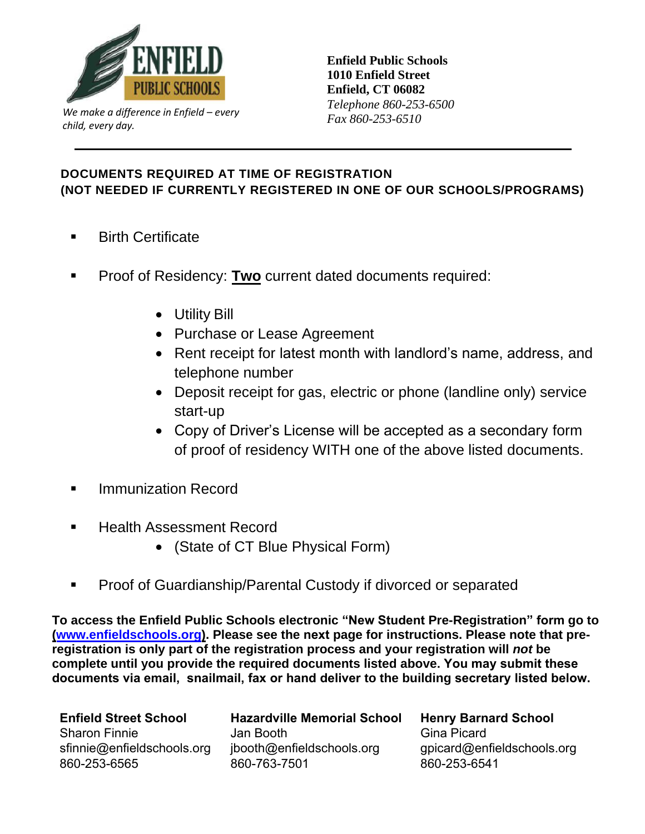

*Fax 860-253-6510 Fax 860-253-6510 child, every day.*

**Enfield Public Schools 1010 Enfield Street Enfield, CT 06082**  *Telephone 860-253-6500* 

## **DOCUMENTS REQUIRED AT TIME OF REGISTRATION (NOT NEEDED IF CURRENTLY REGISTERED IN ONE OF OUR SCHOOLS/PROGRAMS)**

- **Birth Certificate**
- **Proof of Residency: Two current dated documents required:** 
	- Utility Bill
	- Purchase or Lease Agreement
	- Rent receipt for latest month with landlord's name, address, and telephone number
	- Deposit receipt for gas, electric or phone (landline only) service start-up
	- Copy of Driver's License will be accepted as a secondary form of proof of residency WITH one of the above listed documents.
- **Immunization Record**
- **Health Assessment Record** 
	- (State of CT Blue Physical Form)
- Proof of Guardianship/Parental Custody if divorced or separated

**To access the Enfield Public Schools electronic "New Student Pre-Registration" form go to [\(www.enfieldschools.org\)](http://www.enfieldschools.org/). Please see the next page for instructions. Please note that preregistration is only part of the registration process and your registration will** *not* **be complete until you provide the required documents listed above. You may submit these documents via email, snailmail, fax or hand deliver to the building secretary listed below.**

**Enfield Street School** Sharon Finnie [sfinnie@enfieldschools.org](mailto:sfinnie@enfieldschools.org) 860-253-6565

**Hazardville Memorial School** Jan Booth [jbooth@enfieldschools.org](mailto:jbooth@enfieldschools.org) 860-763-7501

**Henry Barnard School** Gina Picard [gpicard@enfieldschools.org](mailto:gpicard@enfieldschools.org)  860-253-6541